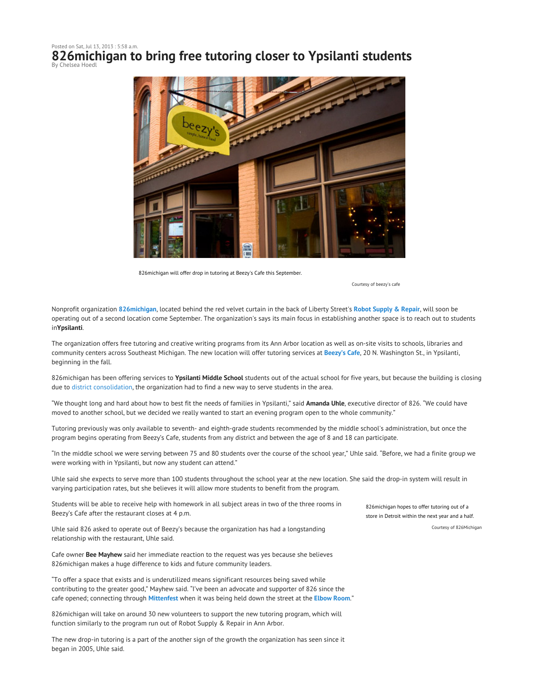## Posted on Sat, Jul 13, 2013 : 5:58 a.m. **826michigan to bring free tutoring closer to Ypsilanti students** By Chelsea Hoedl



826michigan will offer drop in tutoring at Beezy's Cafe this September.

Courtesy of beezy's cafe

Nonprofit organization **826michigan**, located behind the red velvet curtain in the back of Liberty Street's **Robot Supply & Repair**, will soon be operating out of a second location come September. The organization's says its main focus in establishing another space is to reach out to students in**Ypsilanti**.

The organization offers free tutoring and creative writing programs from its Ann Arbor location as well as on-site visits to schools, libraries and community centers across Southeast Michigan. The new location will offer tutoring services at **Beezy's Cafe**, 20 N. Washington St., in Ypsilanti, beginning in the fall.

826michigan has been offering services to **Ypsilanti Middle School** students out of the actual school for five years, but because the building is closing due to district consolidation, the organization had to find a new way to serve students in the area.

"We thought long and hard about how to best fit the needs of families in Ypsilanti," said **Amanda Uhle**, executive director of 826. "We could have moved to another school, but we decided we really wanted to start an evening program open to the whole community."

Tutoring previously was only available to seventh- and eighth-grade students recommended by the middle school's administration, but once the program begins operating from Beezy's Cafe, students from any district and between the age of 8 and 18 can participate.

"In the middle school we were serving between 75 and 80 students over the course of the school year," Uhle said. "Before, we had a finite group we were working with in Ypsilanti, but now any student can attend."

Uhle said she expects to serve more than 100 students throughout the school year at the new location. She said the drop-in system will result in varying participation rates, but she believes it will allow more students to benefit from the program.

Students will be able to receive help with homework in all subject areas in two of the three rooms in Beezy's Cafe after the restaurant closes at 4 p.m.

Uhle said 826 asked to operate out of Beezy's because the organization has had a longstanding relationship with the restaurant, Uhle said.

Cafe owner **Bee Mayhew** said her immediate reaction to the request was yes because she believes 826michigan makes a huge difference to kids and future community leaders.

"To offer a space that exists and is underutilized means significant resources being saved while contributing to the greater good," Mayhew said. "I've been an advocate and supporter of 826 since the cafe opened; connecting through **Mittenfest** when it was being held down the street at the **Elbow Room**."

826michigan will take on around 30 new volunteers to support the new tutoring program, which will function similarly to the program run out of Robot Supply & Repair in Ann Arbor.

The new drop-in tutoring is a part of the another sign of the growth the organization has seen since it began in 2005, Uhle said.

826michigan hopes to offer tutoring out of a store in Detroit within the next year and a half. Courtesy of 826Michigan